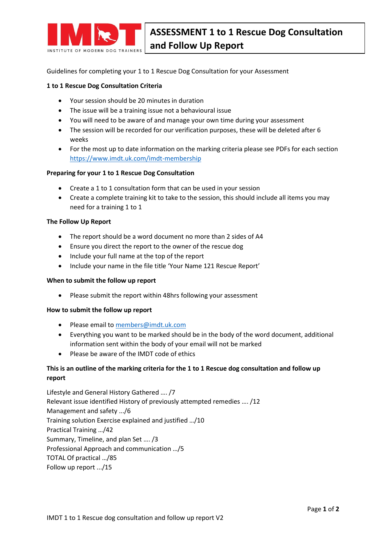

Guidelines for completing your 1 to 1 Rescue Dog Consultation for your Assessment

#### **1 to 1 Rescue Dog Consultation Criteria**

- Your session should be 20 minutes in duration
- The issue will be a training issue not a behavioural issue
- You will need to be aware of and manage your own time during your assessment
- The session will be recorded for our verification purposes, these will be deleted after 6 weeks
- For the most up to date information on the marking criteria please see PDFs for each section <https://www.imdt.uk.com/imdt-membership>

### **Preparing for your 1 to 1 Rescue Dog Consultation**

- Create a 1 to 1 consultation form that can be used in your session
- Create a complete training kit to take to the session, this should include all items you may need for a training 1 to 1

#### **The Follow Up Report**

- The report should be a word document no more than 2 sides of A4
- Ensure you direct the report to the owner of the rescue dog
- Include your full name at the top of the report
- Include your name in the file title 'Your Name 121 Rescue Report'

#### **When to submit the follow up report**

• Please submit the report within 48hrs following your assessment

#### **How to submit the follow up report**

- Please email to [members@imdt.uk.com](mailto:members@imdt.uk.com)
- Everything you want to be marked should be in the body of the word document, additional information sent within the body of your email will not be marked
- Please be aware of the IMDT code of ethics

## **This is an outline of the marking criteria for the 1 to 1 Rescue dog consultation and follow up report**

Lifestyle and General History Gathered …. /7 Relevant issue identified History of previously attempted remedies …. /12 Management and safety .../6 Training solution Exercise explained and justified …/10 Practical Training …/42 Summary, Timeline, and plan Set …. /3 Professional Approach and communication …/5 TOTAL Of practical …/85 Follow up report .../15